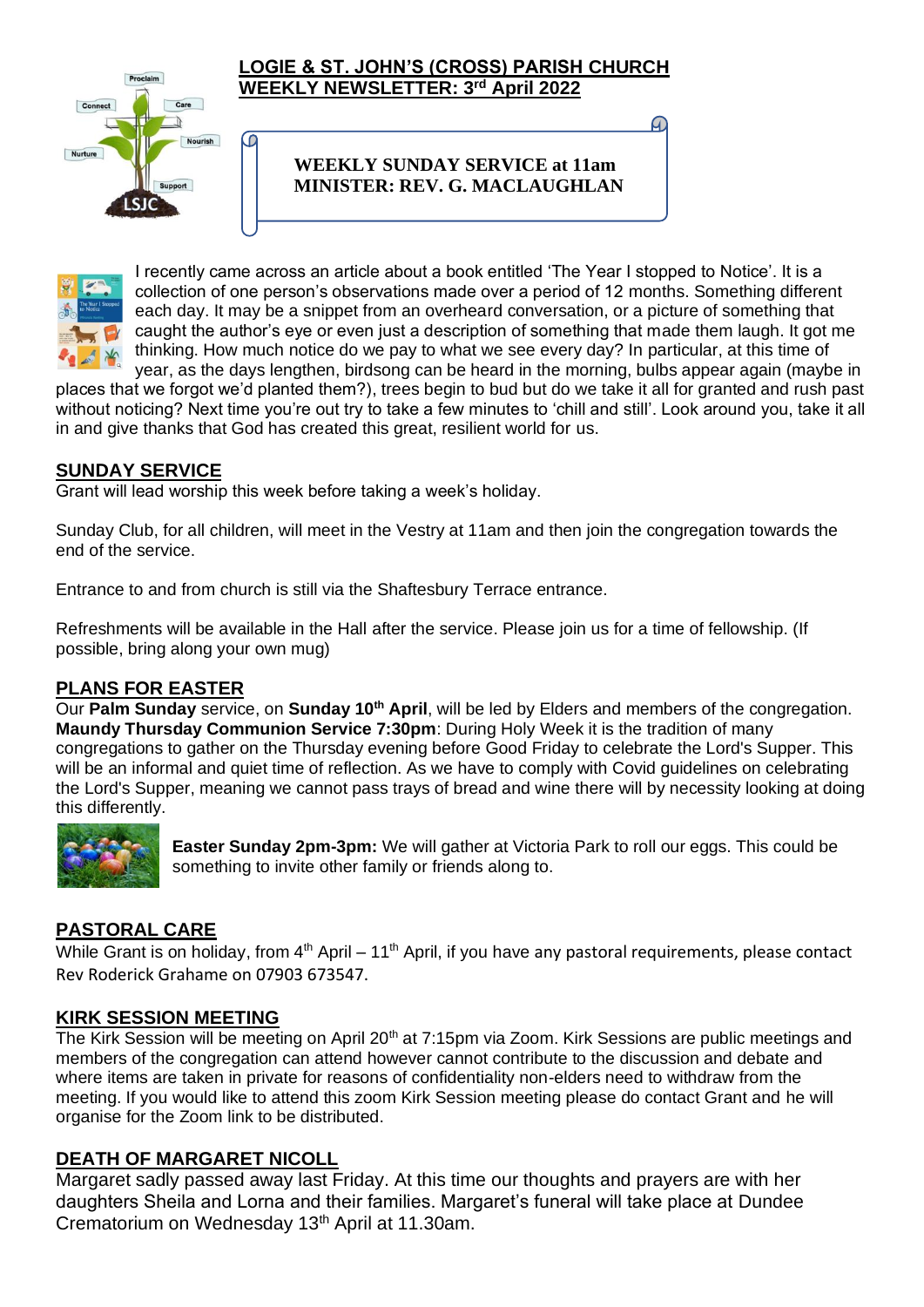

C

#### **LOGIE & ST. JOHN'S (CROSS) PARISH CHURCH WEEKLY NEWSLETTER: 3 rd April 2022**

# **WEEKLY SUNDAY SERVICE at 11am MINISTER: REV. G. MACLAUGHLAN**



I recently came across an article about a book entitled 'The Year I stopped to Notice'. It is a collection of one person's observations made over a period of 12 months. Something different each day. It may be a snippet from an overheard conversation, or a picture of something that caught the author's eye or even just a description of something that made them laugh. It got me thinking. How much notice do we pay to what we see every day? In particular, at this time of year, as the days lengthen, birdsong can be heard in the morning, bulbs appear again (maybe in

places that we forgot we'd planted them?), trees begin to bud but do we take it all for granted and rush past without noticing? Next time you're out try to take a few minutes to 'chill and still'. Look around you, take it all in and give thanks that God has created this great, resilient world for us.

## **SUNDAY SERVICE**

Grant will lead worship this week before taking a week's holiday.

Sunday Club, for all children, will meet in the Vestry at 11am and then join the congregation towards the end of the service.

Entrance to and from church is still via the Shaftesbury Terrace entrance.

Refreshments will be available in the Hall after the service. Please join us for a time of fellowship. (If possible, bring along your own mug)

#### **PLANS FOR EASTER**

Our **Palm Sunday** service, on **Sunday 10th April**, will be led by Elders and members of the congregation. **Maundy Thursday Communion Service 7:30pm**: During Holy Week it is the tradition of many congregations to gather on the Thursday evening before Good Friday to celebrate the Lord's Supper. This will be an informal and quiet time of reflection. As we have to comply with Covid guidelines on celebrating the Lord's Supper, meaning we cannot pass trays of bread and wine there will by necessity looking at doing this differently.



**Easter Sunday 2pm-3pm:** We will gather at Victoria Park to roll our eggs. This could be something to invite other family or friends along to.

# **PASTORAL CARE**

While Grant is on holiday, from  $4<sup>th</sup>$  April – 11<sup>th</sup> April, if you have any pastoral requirements, please contact Rev Roderick Grahame on 07903 673547.

#### **KIRK SESSION MEETING**

The Kirk Session will be meeting on April 20<sup>th</sup> at 7:15pm via Zoom. Kirk Sessions are public meetings and members of the congregation can attend however cannot contribute to the discussion and debate and where items are taken in private for reasons of confidentiality non-elders need to withdraw from the meeting. If you would like to attend this zoom Kirk Session meeting please do contact Grant and he will organise for the Zoom link to be distributed.

#### **DEATH OF MARGARET NICOLL**

Margaret sadly passed away last Friday. At this time our thoughts and prayers are with her daughters Sheila and Lorna and their families. Margaret's funeral will take place at Dundee Crematorium on Wednesday 13th April at 11.30am.